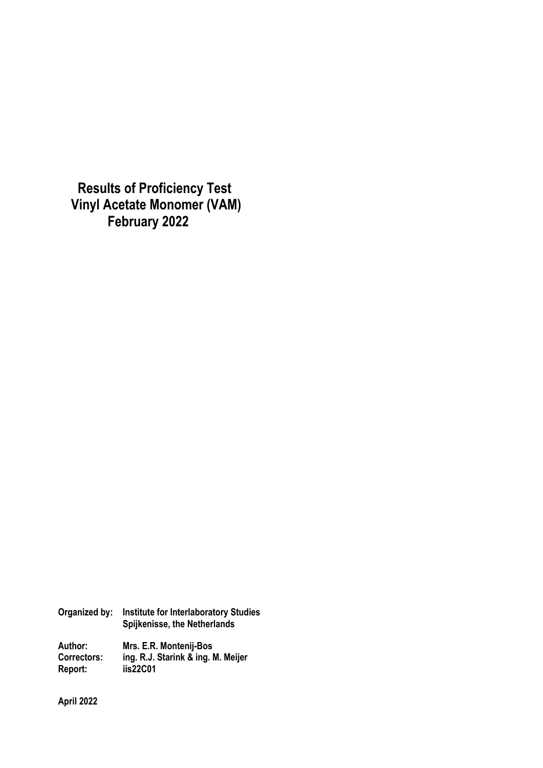**Results of Proficiency Test Vinyl Acetate Monomer (VAM) February 2022** 

| Organized by: | <b>Institute for Interlaboratory Studies</b><br>Spijkenisse, the Netherlands |  |  |  |
|---------------|------------------------------------------------------------------------------|--|--|--|
| Author:       | Mrs. E.R. Montenij-Bos                                                       |  |  |  |
| Correctors:   | ing. R.J. Starink & ing. M. Meijer                                           |  |  |  |
| Report:       | iis22C01                                                                     |  |  |  |

**April 2022**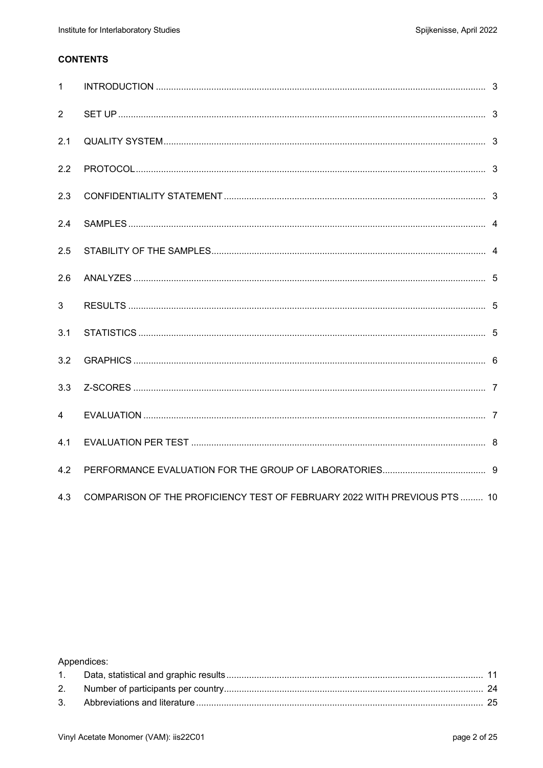## **CONTENTS**

| $\mathbf{1}$   |                                                                           |  |
|----------------|---------------------------------------------------------------------------|--|
| 2              |                                                                           |  |
| 2.1            |                                                                           |  |
| 2.2            |                                                                           |  |
| 2.3            |                                                                           |  |
| 2.4            |                                                                           |  |
| 2.5            |                                                                           |  |
| 2.6            |                                                                           |  |
| 3              |                                                                           |  |
| 3.1            |                                                                           |  |
| 3.2            |                                                                           |  |
| 3.3            |                                                                           |  |
| $\overline{4}$ |                                                                           |  |
| 4.1            |                                                                           |  |
| 4.2            |                                                                           |  |
| 4.3            | COMPARISON OF THE PROFICIENCY TEST OF FEBRUARY 2022 WITH PREVIOUS PTS  10 |  |

## Appendices: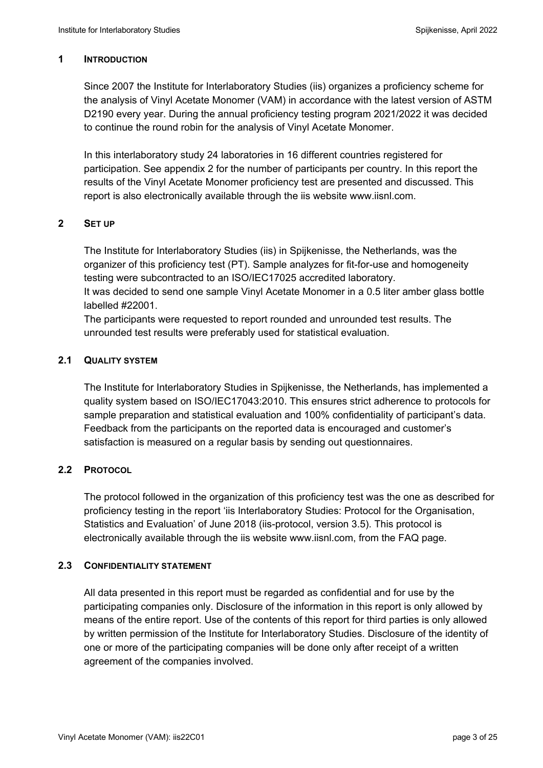### **1 INTRODUCTION**

Since 2007 the Institute for Interlaboratory Studies (iis) organizes a proficiency scheme for the analysis of Vinyl Acetate Monomer (VAM) in accordance with the latest version of ASTM D2190 every year. During the annual proficiency testing program 2021/2022 it was decided to continue the round robin for the analysis of Vinyl Acetate Monomer.

In this interlaboratory study 24 laboratories in 16 different countries registered for participation. See appendix 2 for the number of participants per country. In this report the results of the Vinyl Acetate Monomer proficiency test are presented and discussed. This report is also electronically available through the iis website www.iisnl.com.

### **2 SET UP**

The Institute for Interlaboratory Studies (iis) in Spijkenisse, the Netherlands, was the organizer of this proficiency test (PT). Sample analyzes for fit-for-use and homogeneity testing were subcontracted to an ISO/IEC17025 accredited laboratory. It was decided to send one sample Vinyl Acetate Monomer in a 0.5 liter amber glass bottle labelled #22001.

The participants were requested to report rounded and unrounded test results. The unrounded test results were preferably used for statistical evaluation.

### **2.1 QUALITY SYSTEM**

The Institute for Interlaboratory Studies in Spijkenisse, the Netherlands, has implemented a quality system based on ISO/IEC17043:2010. This ensures strict adherence to protocols for sample preparation and statistical evaluation and 100% confidentiality of participant's data. Feedback from the participants on the reported data is encouraged and customer's satisfaction is measured on a regular basis by sending out questionnaires.

## **2.2 PROTOCOL**

The protocol followed in the organization of this proficiency test was the one as described for proficiency testing in the report 'iis Interlaboratory Studies: Protocol for the Organisation, Statistics and Evaluation' of June 2018 (iis-protocol, version 3.5). This protocol is electronically available through the iis website www.iisnl.com, from the FAQ page.

#### **2.3 CONFIDENTIALITY STATEMENT**

All data presented in this report must be regarded as confidential and for use by the participating companies only. Disclosure of the information in this report is only allowed by means of the entire report. Use of the contents of this report for third parties is only allowed by written permission of the Institute for Interlaboratory Studies. Disclosure of the identity of one or more of the participating companies will be done only after receipt of a written agreement of the companies involved.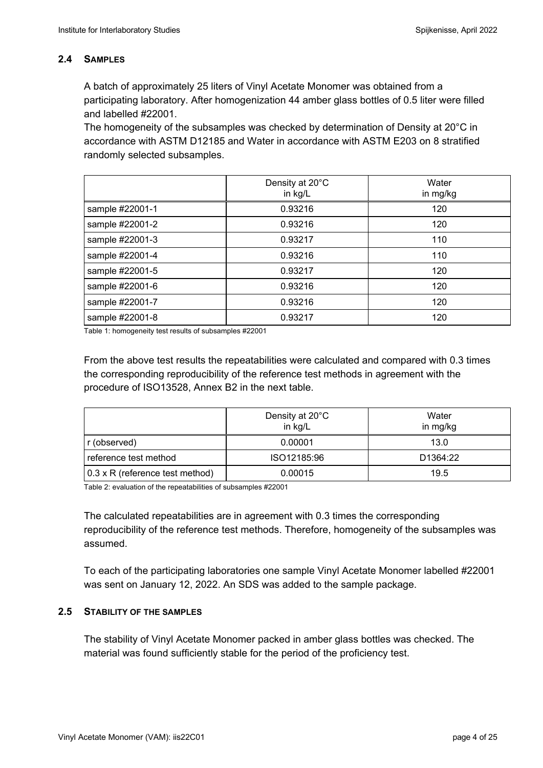## **2.4 SAMPLES**

A batch of approximately 25 liters of Vinyl Acetate Monomer was obtained from a participating laboratory. After homogenization 44 amber glass bottles of 0.5 liter were filled and labelled #22001.

The homogeneity of the subsamples was checked by determination of Density at 20°C in accordance with ASTM D12185 and Water in accordance with ASTM E203 on 8 stratified randomly selected subsamples.

|                 | Density at 20°C<br>in kg/L | Water<br>in mg/kg |
|-----------------|----------------------------|-------------------|
| sample #22001-1 | 0.93216                    | 120               |
| sample #22001-2 | 0.93216                    | 120               |
| sample #22001-3 | 0.93217                    | 110               |
| sample #22001-4 | 0.93216                    | 110               |
| sample #22001-5 | 0.93217                    | 120               |
| sample #22001-6 | 0.93216                    | 120               |
| sample #22001-7 | 0.93216                    | 120               |
| sample #22001-8 | 0.93217                    | 120               |

Table 1: homogeneity test results of subsamples #22001

From the above test results the repeatabilities were calculated and compared with 0.3 times the corresponding reproducibility of the reference test methods in agreement with the procedure of ISO13528, Annex B2 in the next table.

|                                 | Density at 20°C<br>in kg/L | Water<br>in mg/kg     |
|---------------------------------|----------------------------|-----------------------|
| r (observed)                    | 0.00001                    | 13.0                  |
| reference test method           | ISO12185:96                | D <sub>1364</sub> :22 |
| 0.3 x R (reference test method) | 0.00015                    | 19.5                  |

Table 2: evaluation of the repeatabilities of subsamples #22001

The calculated repeatabilities are in agreement with 0.3 times the corresponding reproducibility of the reference test methods. Therefore, homogeneity of the subsamples was assumed.

To each of the participating laboratories one sample Vinyl Acetate Monomer labelled #22001 was sent on January 12, 2022. An SDS was added to the sample package.

## **2.5 STABILITY OF THE SAMPLES**

The stability of Vinyl Acetate Monomer packed in amber glass bottles was checked. The material was found sufficiently stable for the period of the proficiency test.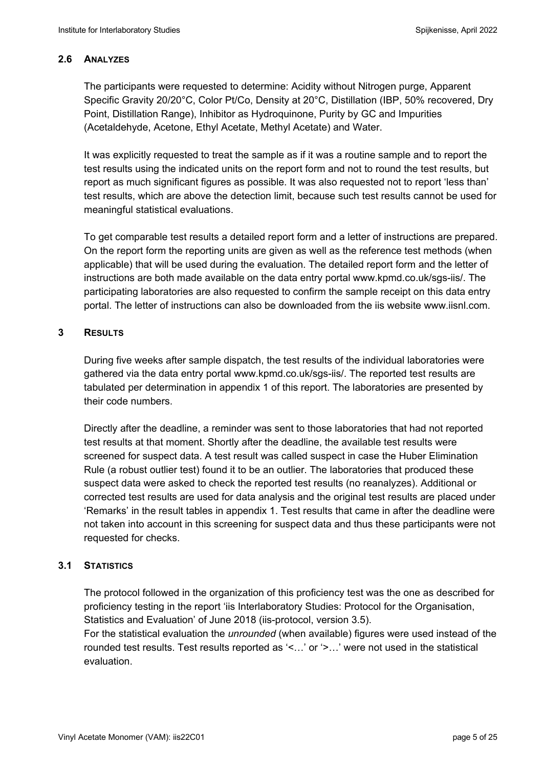## **2.6 ANALYZES**

The participants were requested to determine: Acidity without Nitrogen purge, Apparent Specific Gravity 20/20°C, Color Pt/Co, Density at 20°C, Distillation (IBP, 50% recovered, Dry Point, Distillation Range), Inhibitor as Hydroquinone, Purity by GC and Impurities (Acetaldehyde, Acetone, Ethyl Acetate, Methyl Acetate) and Water.

It was explicitly requested to treat the sample as if it was a routine sample and to report the test results using the indicated units on the report form and not to round the test results, but report as much significant figures as possible. It was also requested not to report 'less than' test results, which are above the detection limit, because such test results cannot be used for meaningful statistical evaluations.

To get comparable test results a detailed report form and a letter of instructions are prepared. On the report form the reporting units are given as well as the reference test methods (when applicable) that will be used during the evaluation. The detailed report form and the letter of instructions are both made available on the data entry portal www.kpmd.co.uk/sgs-iis/. The participating laboratories are also requested to confirm the sample receipt on this data entry portal. The letter of instructions can also be downloaded from the iis website www.iisnl.com.

### **3 RESULTS**

During five weeks after sample dispatch, the test results of the individual laboratories were gathered via the data entry portal www.kpmd.co.uk/sgs-iis/. The reported test results are tabulated per determination in appendix 1 of this report. The laboratories are presented by their code numbers.

Directly after the deadline, a reminder was sent to those laboratories that had not reported test results at that moment. Shortly after the deadline, the available test results were screened for suspect data. A test result was called suspect in case the Huber Elimination Rule (a robust outlier test) found it to be an outlier. The laboratories that produced these suspect data were asked to check the reported test results (no reanalyzes). Additional or corrected test results are used for data analysis and the original test results are placed under 'Remarks' in the result tables in appendix 1. Test results that came in after the deadline were not taken into account in this screening for suspect data and thus these participants were not requested for checks.

## **3.1 STATISTICS**

The protocol followed in the organization of this proficiency test was the one as described for proficiency testing in the report 'iis Interlaboratory Studies: Protocol for the Organisation, Statistics and Evaluation' of June 2018 (iis-protocol, version 3.5).

For the statistical evaluation the *unrounded* (when available) figures were used instead of the rounded test results. Test results reported as '<…' or '>…' were not used in the statistical evaluation.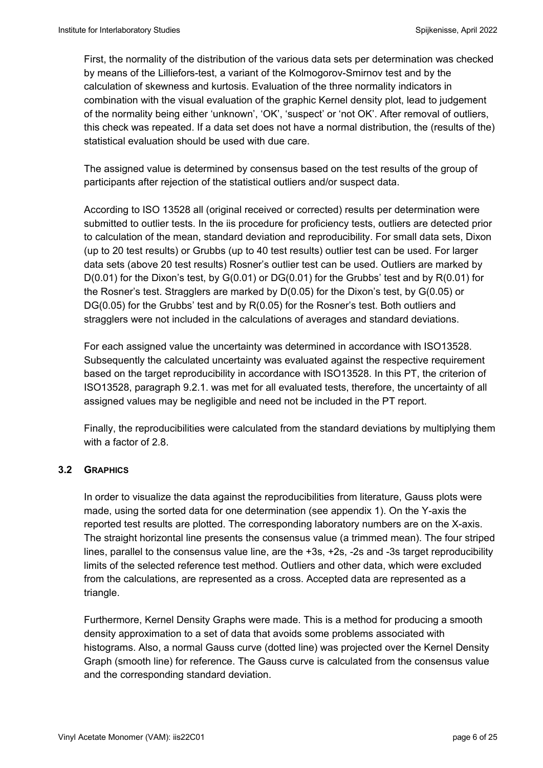First, the normality of the distribution of the various data sets per determination was checked by means of the Lilliefors-test, a variant of the Kolmogorov-Smirnov test and by the calculation of skewness and kurtosis. Evaluation of the three normality indicators in combination with the visual evaluation of the graphic Kernel density plot, lead to judgement of the normality being either 'unknown', 'OK', 'suspect' or 'not OK'. After removal of outliers, this check was repeated. If a data set does not have a normal distribution, the (results of the) statistical evaluation should be used with due care.

The assigned value is determined by consensus based on the test results of the group of participants after rejection of the statistical outliers and/or suspect data.

According to ISO 13528 all (original received or corrected) results per determination were submitted to outlier tests. In the iis procedure for proficiency tests, outliers are detected prior to calculation of the mean, standard deviation and reproducibility. For small data sets, Dixon (up to 20 test results) or Grubbs (up to 40 test results) outlier test can be used. For larger data sets (above 20 test results) Rosner's outlier test can be used. Outliers are marked by D(0.01) for the Dixon's test, by G(0.01) or DG(0.01) for the Grubbs' test and by R(0.01) for the Rosner's test. Stragglers are marked by D(0.05) for the Dixon's test, by G(0.05) or DG(0.05) for the Grubbs' test and by R(0.05) for the Rosner's test. Both outliers and stragglers were not included in the calculations of averages and standard deviations.

For each assigned value the uncertainty was determined in accordance with ISO13528. Subsequently the calculated uncertainty was evaluated against the respective requirement based on the target reproducibility in accordance with ISO13528. In this PT, the criterion of ISO13528, paragraph 9.2.1. was met for all evaluated tests, therefore, the uncertainty of all assigned values may be negligible and need not be included in the PT report.

Finally, the reproducibilities were calculated from the standard deviations by multiplying them with a factor of 2.8.

## **3.2 GRAPHICS**

In order to visualize the data against the reproducibilities from literature, Gauss plots were made, using the sorted data for one determination (see appendix 1). On the Y-axis the reported test results are plotted. The corresponding laboratory numbers are on the X-axis. The straight horizontal line presents the consensus value (a trimmed mean). The four striped lines, parallel to the consensus value line, are the +3s, +2s, -2s and -3s target reproducibility limits of the selected reference test method. Outliers and other data, which were excluded from the calculations, are represented as a cross. Accepted data are represented as a triangle.

Furthermore, Kernel Density Graphs were made. This is a method for producing a smooth density approximation to a set of data that avoids some problems associated with histograms. Also, a normal Gauss curve (dotted line) was projected over the Kernel Density Graph (smooth line) for reference. The Gauss curve is calculated from the consensus value and the corresponding standard deviation.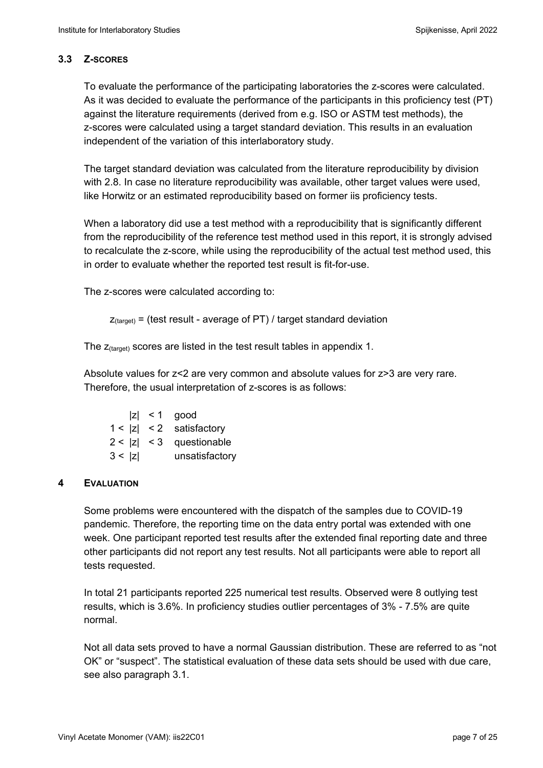## **3.3 Z-SCORES**

To evaluate the performance of the participating laboratories the z-scores were calculated. As it was decided to evaluate the performance of the participants in this proficiency test (PT) against the literature requirements (derived from e.g. ISO or ASTM test methods), the z-scores were calculated using a target standard deviation. This results in an evaluation independent of the variation of this interlaboratory study.

The target standard deviation was calculated from the literature reproducibility by division with 2.8. In case no literature reproducibility was available, other target values were used, like Horwitz or an estimated reproducibility based on former iis proficiency tests.

When a laboratory did use a test method with a reproducibility that is significantly different from the reproducibility of the reference test method used in this report, it is strongly advised to recalculate the z-score, while using the reproducibility of the actual test method used, this in order to evaluate whether the reported test result is fit-for-use.

The z-scores were calculated according to:

```
Z_{\text{target}} = (test result - average of PT) / target standard deviation
```
The  $z_{\text{(target)}}$  scores are listed in the test result tables in appendix 1.

Absolute values for z<2 are very common and absolute values for z>3 are very rare. Therefore, the usual interpretation of z-scores is as follows:

|        | $ z  < 1$ good             |
|--------|----------------------------|
|        | $1 <  z  < 2$ satisfactory |
|        | $2 <  z  < 3$ questionable |
| 3 <  z | unsatisfactory             |

## **4 EVALUATION**

Some problems were encountered with the dispatch of the samples due to COVID-19 pandemic. Therefore, the reporting time on the data entry portal was extended with one week. One participant reported test results after the extended final reporting date and three other participants did not report any test results. Not all participants were able to report all tests requested.

In total 21 participants reported 225 numerical test results. Observed were 8 outlying test results, which is 3.6%. In proficiency studies outlier percentages of 3% - 7.5% are quite normal.

Not all data sets proved to have a normal Gaussian distribution. These are referred to as "not OK" or "suspect". The statistical evaluation of these data sets should be used with due care, see also paragraph 3.1.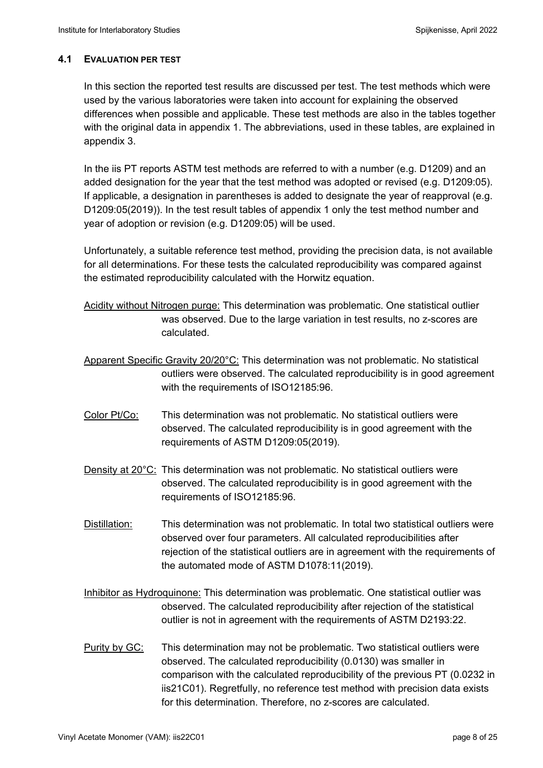### **4.1 EVALUATION PER TEST**

In this section the reported test results are discussed per test. The test methods which were used by the various laboratories were taken into account for explaining the observed differences when possible and applicable. These test methods are also in the tables together with the original data in appendix 1. The abbreviations, used in these tables, are explained in appendix 3.

In the iis PT reports ASTM test methods are referred to with a number (e.g. D1209) and an added designation for the year that the test method was adopted or revised (e.g. D1209:05). If applicable, a designation in parentheses is added to designate the year of reapproval (e.g. D1209:05(2019)). In the test result tables of appendix 1 only the test method number and year of adoption or revision (e.g. D1209:05) will be used.

Unfortunately, a suitable reference test method, providing the precision data, is not available for all determinations. For these tests the calculated reproducibility was compared against the estimated reproducibility calculated with the Horwitz equation.

- Acidity without Nitrogen purge: This determination was problematic. One statistical outlier was observed. Due to the large variation in test results, no z-scores are calculated.
- Apparent Specific Gravity 20/20°C: This determination was not problematic. No statistical outliers were observed. The calculated reproducibility is in good agreement with the requirements of ISO12185:96.
- Color Pt/Co: This determination was not problematic. No statistical outliers were observed. The calculated reproducibility is in good agreement with the requirements of ASTM D1209:05(2019).
- Density at 20°C: This determination was not problematic. No statistical outliers were observed. The calculated reproducibility is in good agreement with the requirements of ISO12185:96.
- Distillation: This determination was not problematic. In total two statistical outliers were observed over four parameters. All calculated reproducibilities after rejection of the statistical outliers are in agreement with the requirements of the automated mode of ASTM D1078:11(2019).
- Inhibitor as Hydroquinone: This determination was problematic. One statistical outlier was observed. The calculated reproducibility after rejection of the statistical outlier is not in agreement with the requirements of ASTM D2193:22.
- Purity by GC: This determination may not be problematic. Two statistical outliers were observed. The calculated reproducibility (0.0130) was smaller in comparison with the calculated reproducibility of the previous PT (0.0232 in iis21C01). Regretfully, no reference test method with precision data exists for this determination. Therefore, no z-scores are calculated.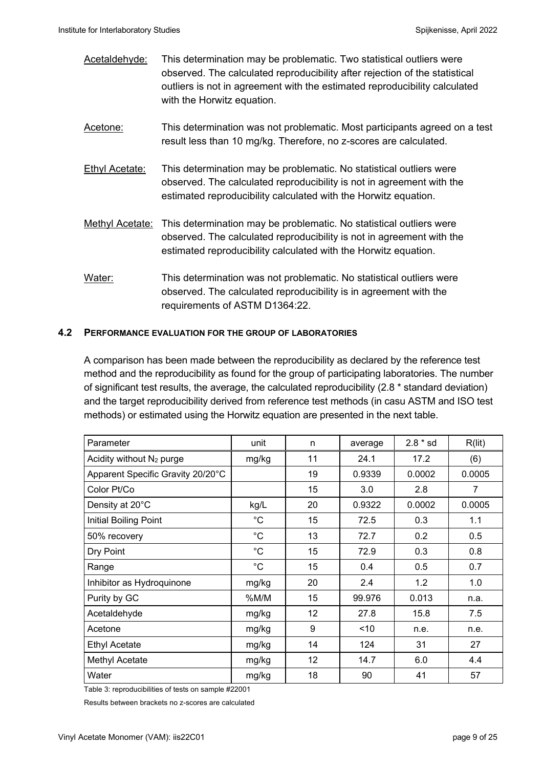| Acetaldehyde:   | This determination may be problematic. Two statistical outliers were<br>observed. The calculated reproducibility after rejection of the statistical<br>outliers is not in agreement with the estimated reproducibility calculated<br>with the Horwitz equation. |
|-----------------|-----------------------------------------------------------------------------------------------------------------------------------------------------------------------------------------------------------------------------------------------------------------|
| Acetone:        | This determination was not problematic. Most participants agreed on a test<br>result less than 10 mg/kg. Therefore, no z-scores are calculated.                                                                                                                 |
| Ethyl Acetate:  | This determination may be problematic. No statistical outliers were<br>observed. The calculated reproducibility is not in agreement with the<br>estimated reproducibility calculated with the Horwitz equation.                                                 |
| Methyl Acetate: | This determination may be problematic. No statistical outliers were<br>observed. The calculated reproducibility is not in agreement with the<br>estimated reproducibility calculated with the Horwitz equation.                                                 |
| Water:          | This determination was not problematic. No statistical outliers were<br>observed. The calculated reproducibility is in agreement with the<br>requirements of ASTM D1364:22.                                                                                     |

### **4.2 PERFORMANCE EVALUATION FOR THE GROUP OF LABORATORIES**

A comparison has been made between the reproducibility as declared by the reference test method and the reproducibility as found for the group of participating laboratories. The number of significant test results, the average, the calculated reproducibility (2.8 \* standard deviation) and the target reproducibility derived from reference test methods (in casu ASTM and ISO test methods) or estimated using the Horwitz equation are presented in the next table.

| Parameter                            | unit        | n  | average | $2.8 * sd$ | R(lit) |
|--------------------------------------|-------------|----|---------|------------|--------|
| Acidity without N <sub>2</sub> purge | mg/kg       | 11 | 24.1    | 17.2       | (6)    |
| Apparent Specific Gravity 20/20°C    |             | 19 | 0.9339  | 0.0002     | 0.0005 |
| Color Pt/Co                          |             | 15 | 3.0     | 2.8        | 7      |
| Density at 20°C                      | kg/L        | 20 | 0.9322  | 0.0002     | 0.0005 |
| <b>Initial Boiling Point</b>         | $^{\circ}C$ | 15 | 72.5    | 0.3        | 1.1    |
| 50% recovery                         | $^{\circ}C$ | 13 | 72.7    | 0.2        | 0.5    |
| Dry Point                            | $^{\circ}C$ | 15 | 72.9    | 0.3        | 0.8    |
| Range                                | $^{\circ}C$ | 15 | 0.4     | 0.5        | 0.7    |
| Inhibitor as Hydroquinone            | mg/kg       | 20 | 2.4     | 1.2        | 1.0    |
| Purity by GC                         | %M/M        | 15 | 99.976  | 0.013      | n.a.   |
| Acetaldehyde                         | mg/kg       | 12 | 27.8    | 15.8       | 7.5    |
| Acetone                              | mg/kg       | 9  | ~10     | n.e.       | n.e.   |
| <b>Ethyl Acetate</b>                 | mg/kg       | 14 | 124     | 31         | 27     |
| Methyl Acetate                       | mg/kg       | 12 | 14.7    | 6.0        | 4.4    |
| Water                                | mg/kg       | 18 | 90      | 41         | 57     |

Table 3: reproducibilities of tests on sample #22001

Results between brackets no z-scores are calculated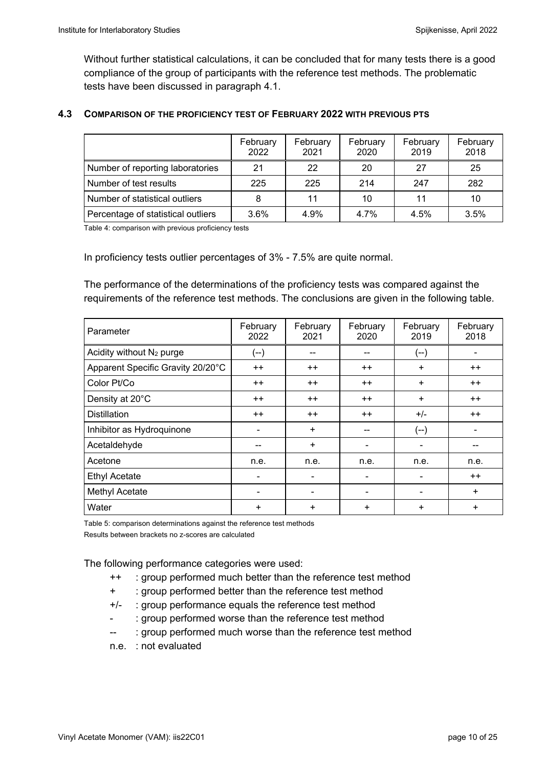Without further statistical calculations, it can be concluded that for many tests there is a good compliance of the group of participants with the reference test methods. The problematic tests have been discussed in paragraph 4.1.

## **4.3 COMPARISON OF THE PROFICIENCY TEST OF FEBRUARY 2022 WITH PREVIOUS PTS**

|                                    | February<br>2022 | February<br>2021 | February<br>2020 | February<br>2019 | February<br>2018 |
|------------------------------------|------------------|------------------|------------------|------------------|------------------|
| Number of reporting laboratories   | 21               | 22               | 20               | 27               | 25               |
| Number of test results             | 225              | 225              | 214              | 247              | 282              |
| Number of statistical outliers     |                  | 11               | 10               | 11               | 10               |
| Percentage of statistical outliers | 3.6%             | 4.9%             | 4.7%             | 4.5%             | 3.5%             |

Table 4: comparison with previous proficiency tests

In proficiency tests outlier percentages of 3% - 7.5% are quite normal.

The performance of the determinations of the proficiency tests was compared against the requirements of the reference test methods. The conclusions are given in the following table.

| Parameter                            | February<br>2022 | February<br>2021 | February<br>2020 | February<br>2019 | February<br>2018 |
|--------------------------------------|------------------|------------------|------------------|------------------|------------------|
| Acidity without N <sub>2</sub> purge | (--)             |                  |                  | (--)             |                  |
| Apparent Specific Gravity 20/20°C    | $++$             | $++$             | $++$             | $\ddot{}$        | $++$             |
| Color Pt/Co                          | $++$             | $++$             | $++$             | $\ddot{}$        | $++$             |
| Density at 20°C                      | $++$             | $++$             |                  | $\ddot{}$        | $^{\mathrm{+}}$  |
| <b>Distillation</b>                  | $++$             | $^{++}$          | $++$             | $+/-$            | $^{\mathrm{+}}$  |
| Inhibitor as Hydroquinone            |                  | ÷                | --               | $(--)$           |                  |
| Acetaldehyde                         |                  | ÷                |                  |                  |                  |
| Acetone                              | n.e.             | n.e.             | n.e.             | n.e.             | n.e.             |
| <b>Ethyl Acetate</b>                 |                  |                  |                  |                  | $^{\mathrm{+}}$  |
| Methyl Acetate                       |                  |                  |                  |                  | $+$              |
| Water                                | $\ddot{}$        | $\ddot{}$        | $\ddot{}$        | $\ddot{}$        | ÷                |

Table 5: comparison determinations against the reference test methods Results between brackets no z-scores are calculated

The following performance categories were used:

- ++ : group performed much better than the reference test method
- + : group performed better than the reference test method
- +/- : group performance equals the reference test method
- : group performed worse than the reference test method
- -- : group performed much worse than the reference test method
- n.e. : not evaluated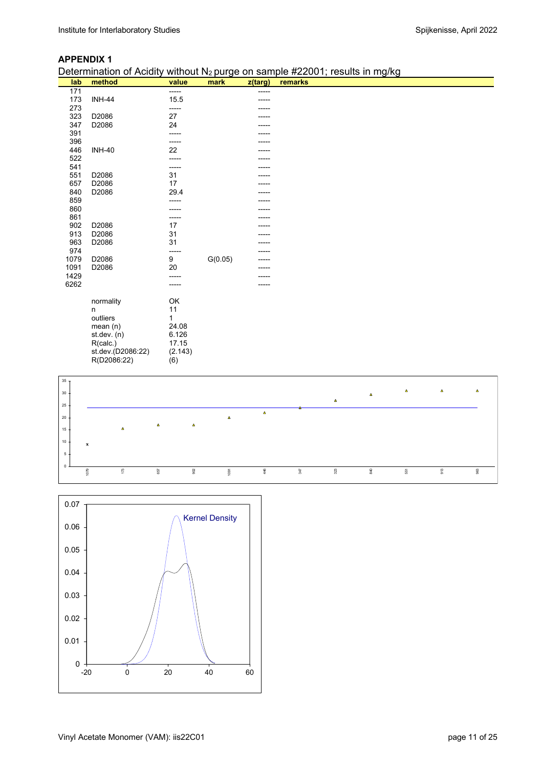#### **APPENDIX 1**

Determination of Acidity without N<sub>2</sub> purge on sample #22001; results in mg/kg

| lab             | method            | value    | mark    | z(targ) | remarks |          |                |          |          |
|-----------------|-------------------|----------|---------|---------|---------|----------|----------------|----------|----------|
| 171             |                   | -----    |         | -----   |         |          |                |          |          |
| 173             | <b>INH-44</b>     | 15.5     |         |         |         |          |                |          |          |
| 273             |                   | -----    |         |         |         |          |                |          |          |
| 323             | D2086             | 27       |         |         |         |          |                |          |          |
| 347             | D2086             | 24       |         |         |         |          |                |          |          |
| 391             |                   | -----    |         |         |         |          |                |          |          |
| 396             |                   | -----    |         |         |         |          |                |          |          |
| 446             | <b>INH-40</b>     | 22       |         |         |         |          |                |          |          |
| 522             |                   | -----    |         |         |         |          |                |          |          |
| 541             |                   | -----    |         |         |         |          |                |          |          |
| 551             | D2086<br>D2086    | 31<br>17 |         |         |         |          |                |          |          |
| 657<br>840      | D2086             | 29.4     |         |         |         |          |                |          |          |
| 859             |                   | -----    |         |         |         |          |                |          |          |
| 860             |                   |          |         |         |         |          |                |          |          |
| 861             |                   |          |         |         |         |          |                |          |          |
| 902             | D2086             | 17       |         |         |         |          |                |          |          |
| 913             | D2086             | 31       |         |         |         |          |                |          |          |
| 963             | D2086             | 31       |         |         |         |          |                |          |          |
| 974             |                   | -----    |         |         |         |          |                |          |          |
| 1079            | D2086             | 9        | G(0.05) |         |         |          |                |          |          |
| 1091            | D2086             | 20       |         |         |         |          |                |          |          |
| 1429            |                   |          |         |         |         |          |                |          |          |
| 6262            |                   | -----    |         |         |         |          |                |          |          |
|                 |                   |          |         |         |         |          |                |          |          |
|                 | normality         | OK       |         |         |         |          |                |          |          |
|                 | n                 | 11       |         |         |         |          |                |          |          |
|                 | outliers          | 1        |         |         |         |          |                |          |          |
|                 | mean(n)           | 24.08    |         |         |         |          |                |          |          |
|                 | st.dev. (n)       | 6.126    |         |         |         |          |                |          |          |
|                 | R(calc.)          | 17.15    |         |         |         |          |                |          |          |
|                 | st.dev.(D2086:22) | (2.143)  |         |         |         |          |                |          |          |
|                 | R(D2086:22)       | (6)      |         |         |         |          |                |          |          |
|                 |                   |          |         |         |         |          |                |          |          |
| 35 <sub>7</sub> |                   |          |         |         |         |          |                |          |          |
| $30 -$          |                   |          |         |         |         | $\Delta$ | $\pmb{\Delta}$ | $\Delta$ | $\Delta$ |



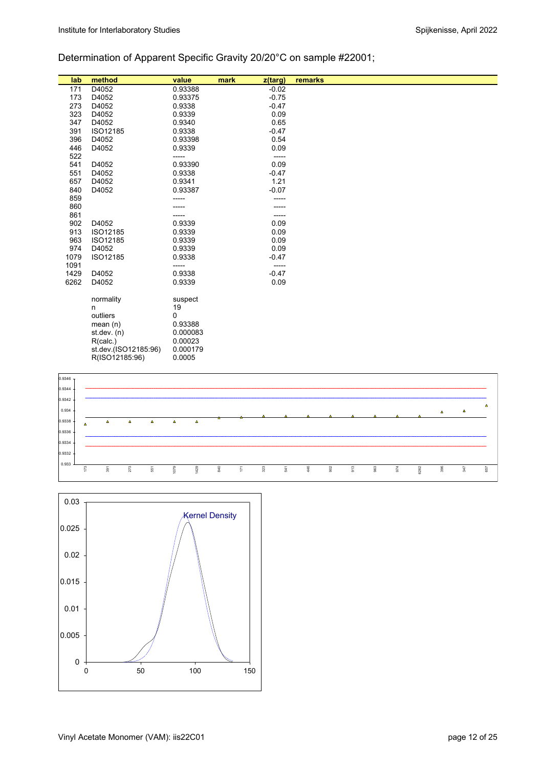## Determination of Apparent Specific Gravity 20/20°C on sample #22001;

| lab  | method               | value    | mark | z(targ) | remarks |
|------|----------------------|----------|------|---------|---------|
| 171  | D4052                | 0.93388  |      | $-0.02$ |         |
| 173  | D4052                | 0.93375  |      | $-0.75$ |         |
| 273  | D4052                | 0.9338   |      | $-0.47$ |         |
| 323  | D4052                | 0.9339   |      | 0.09    |         |
| 347  | D4052                | 0.9340   |      | 0.65    |         |
| 391  | ISO12185             | 0.9338   |      | $-0.47$ |         |
| 396  | D4052                | 0.93398  |      | 0.54    |         |
| 446  | D4052                | 0.9339   |      | 0.09    |         |
| 522  |                      | -----    |      | -----   |         |
| 541  | D4052                | 0.93390  |      | 0.09    |         |
| 551  | D4052                | 0.9338   |      | $-0.47$ |         |
| 657  | D4052                | 0.9341   |      | 1.21    |         |
| 840  | D4052                | 0.93387  |      | $-0.07$ |         |
| 859  |                      |          |      |         |         |
| 860  |                      |          |      |         |         |
| 861  |                      |          |      |         |         |
| 902  | D4052                | 0.9339   |      | 0.09    |         |
| 913  | ISO12185             | 0.9339   |      | 0.09    |         |
| 963  | ISO12185             | 0.9339   |      | 0.09    |         |
| 974  | D4052                | 0.9339   |      | 0.09    |         |
| 1079 | ISO12185             | 0.9338   |      | $-0.47$ |         |
| 1091 |                      | -----    |      | -----   |         |
| 1429 | D4052                | 0.9338   |      | $-0.47$ |         |
| 6262 | D4052                | 0.9339   |      | 0.09    |         |
|      |                      |          |      |         |         |
|      | normality            | suspect  |      |         |         |
|      | n                    | 19       |      |         |         |
|      | outliers             | 0        |      |         |         |
|      | mean $(n)$           | 0.93388  |      |         |         |
|      | st.dev. $(n)$        | 0.000083 |      |         |         |
|      | R(calc.)             | 0.00023  |      |         |         |
|      | st.dev.(ISO12185.96) | 0.000179 |      |         |         |
|      | R(ISO12185:96)       | 0.0005   |      |         |         |
|      |                      |          |      |         |         |



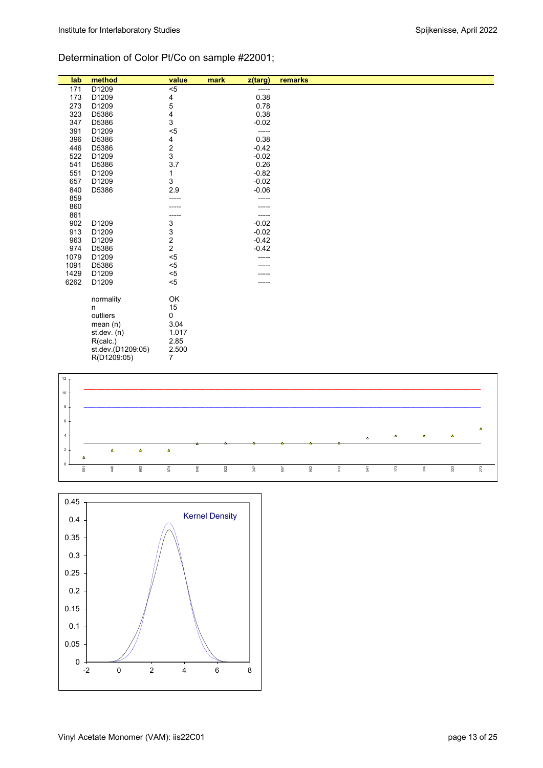## Determination of Color Pt/Co on sample #22001;

| lab  | method            | value                   | mark<br>z(targ) |         | remarks |
|------|-------------------|-------------------------|-----------------|---------|---------|
| 171  | D1209             | $5$                     |                 | -----   |         |
| 173  | D1209             | 4                       |                 | 0.38    |         |
| 273  | D1209             | 5                       |                 | 0.78    |         |
| 323  | D5386             | 4                       |                 | 0.38    |         |
| 347  | D5386             | 3                       |                 | $-0.02$ |         |
| 391  | D1209             | $5$                     |                 | -----   |         |
| 396  | D5386             | 4                       |                 | 0.38    |         |
| 446  | D5386             | $\overline{\mathbf{c}}$ |                 | $-0.42$ |         |
| 522  | D1209             | 3                       |                 | $-0.02$ |         |
| 541  | D5386             | 3.7                     |                 | 0.26    |         |
| 551  | D1209             | 1                       |                 | $-0.82$ |         |
| 657  | D1209             | 3                       |                 | $-0.02$ |         |
| 840  | D5386             | 2.9                     |                 | $-0.06$ |         |
| 859  |                   |                         |                 |         |         |
| 860  |                   |                         |                 |         |         |
| 861  |                   |                         |                 |         |         |
| 902  | D1209             | 3                       |                 | $-0.02$ |         |
| 913  | D1209             | 3                       |                 | $-0.02$ |         |
| 963  | D1209             | $\overline{\mathbf{c}}$ |                 | $-0.42$ |         |
| 974  | D5386             | $\overline{c}$          |                 | $-0.42$ |         |
| 1079 | D1209             | $< 5$                   |                 |         |         |
| 1091 | D5386             | $5$                     |                 |         |         |
| 1429 | D1209             | $< 5$                   |                 |         |         |
| 6262 | D1209             | $5$                     |                 |         |         |
|      | normality         | OK                      |                 |         |         |
|      | n                 | 15                      |                 |         |         |
|      | outliers          | 0                       |                 |         |         |
|      | mean $(n)$        | 3.04                    |                 |         |         |
|      | st.dev. $(n)$     | 1.017                   |                 |         |         |
|      | R(calc.)          | 2.85                    |                 |         |         |
|      | st.dev.(D1209:05) | 2.500                   |                 |         |         |
|      | R(D1209:05)       | $\overline{7}$          |                 |         |         |



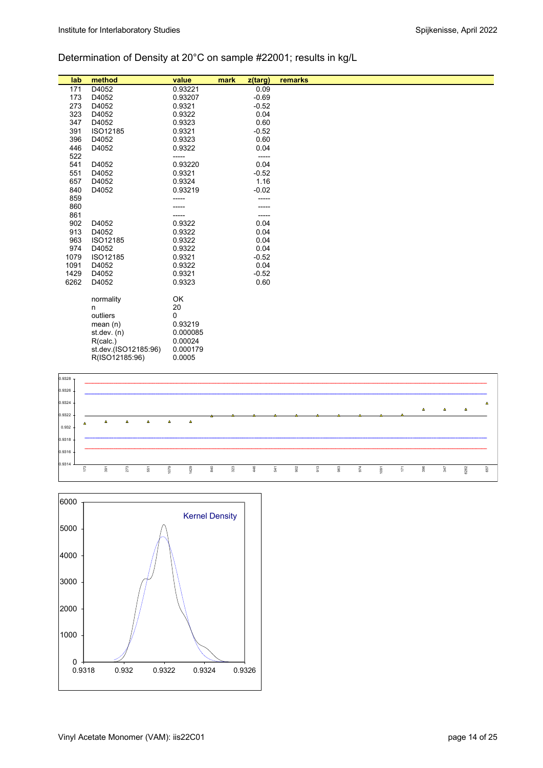# Determination of Density at 20°C on sample #22001; results in kg/L

| lab  | method               | value    | mark | z(targ) | remarks |
|------|----------------------|----------|------|---------|---------|
| 171  | D4052                | 0.93221  |      | 0.09    |         |
| 173  | D4052                | 0.93207  |      | $-0.69$ |         |
| 273  | D4052                | 0.9321   |      | $-0.52$ |         |
| 323  | D4052                | 0.9322   |      | 0.04    |         |
| 347  | D4052                | 0.9323   |      | 0.60    |         |
| 391  | ISO12185             | 0.9321   |      | $-0.52$ |         |
| 396  | D4052                | 0.9323   |      | 0.60    |         |
| 446  | D4052                | 0.9322   |      | 0.04    |         |
| 522  |                      | -----    |      | -----   |         |
| 541  | D4052                | 0.93220  |      | 0.04    |         |
| 551  | D4052                | 0.9321   |      | $-0.52$ |         |
| 657  | D4052                | 0.9324   |      | 1.16    |         |
| 840  | D4052                | 0.93219  |      | $-0.02$ |         |
| 859  |                      |          |      |         |         |
| 860  |                      |          |      |         |         |
| 861  |                      |          |      |         |         |
| 902  | D4052                | 0.9322   |      | 0.04    |         |
| 913  | D4052                | 0.9322   |      | 0.04    |         |
| 963  | ISO12185             | 0.9322   |      | 0.04    |         |
| 974  | D4052                | 0.9322   |      | 0.04    |         |
| 1079 | ISO12185             | 0.9321   |      | $-0.52$ |         |
| 1091 | D4052                | 0.9322   |      | 0.04    |         |
| 1429 | D4052                | 0.9321   |      | $-0.52$ |         |
| 6262 | D4052                | 0.9323   |      | 0.60    |         |
|      | normality            | OK       |      |         |         |
|      | n                    | 20       |      |         |         |
|      | outliers             | 0        |      |         |         |
|      | mean $(n)$           | 0.93219  |      |         |         |
|      | st.dev. (n)          | 0.000085 |      |         |         |
|      | R(calc.)             | 0.00024  |      |         |         |
|      | st.dev.(ISO12185:96) | 0.000179 |      |         |         |
|      | R(ISO12185:96)       | 0.0005   |      |         |         |



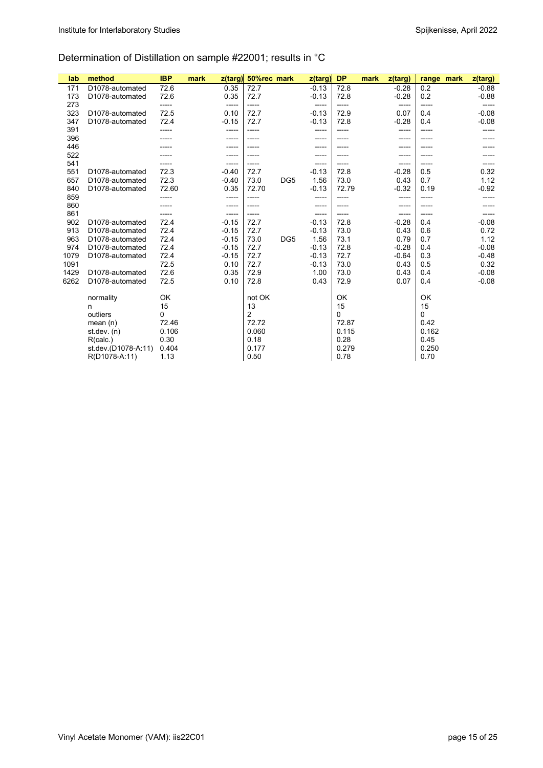# Determination of Distillation on sample #22001; results in °C

| lab  | method                                           | <b>IBP</b>            | mark | z(targ) | 50%rec mark           |                 | z(targ) | <b>DP</b>             | mark | z(targ) | range                 | mark | z(targ) |
|------|--------------------------------------------------|-----------------------|------|---------|-----------------------|-----------------|---------|-----------------------|------|---------|-----------------------|------|---------|
| 171  | D1078-automated                                  | 72.6                  |      | 0.35    | 72.7                  |                 | $-0.13$ | 72.8                  |      | $-0.28$ | 0.2                   |      | $-0.88$ |
| 173  | D1078-automated                                  | 72.6                  |      | 0.35    | 72.7                  |                 | $-0.13$ | 72.8                  |      | $-0.28$ | 0.2                   |      | $-0.88$ |
| 273  |                                                  |                       |      | -----   | -----                 |                 | -----   | -----                 |      | -----   | -----                 |      |         |
| 323  | D1078-automated                                  | 72.5                  |      | 0.10    | 72.7                  |                 | $-0.13$ | 72.9                  |      | 0.07    | 0.4                   |      | $-0.08$ |
| 347  | D <sub>1078</sub> -automated                     | 72.4                  |      | $-0.15$ | 72.7                  |                 | $-0.13$ | 72.8                  |      | $-0.28$ | 0.4                   |      | $-0.08$ |
| 391  |                                                  | -----                 |      | -----   | -----                 |                 | -----   | -----                 |      | -----   | -----                 |      |         |
| 396  |                                                  |                       |      | -----   |                       |                 | -----   |                       |      | -----   |                       |      |         |
| 446  |                                                  |                       |      |         |                       |                 | -----   |                       |      | -----   |                       |      |         |
| 522  |                                                  |                       |      |         |                       |                 | -----   |                       |      | -----   |                       |      |         |
| 541  |                                                  |                       |      | -----   |                       |                 | -----   |                       |      | -----   | -----                 |      |         |
| 551  | D <sub>1078</sub> -automated                     | 72.3                  |      | $-0.40$ | 72.7                  |                 | $-0.13$ | 72.8                  |      | $-0.28$ | 0.5                   |      | 0.32    |
| 657  | D1078-automated                                  | 72.3                  |      | $-0.40$ | 73.0                  | DG <sub>5</sub> | 1.56    | 73.0                  |      | 0.43    | 0.7                   |      | 1.12    |
| 840  | D1078-automated                                  | 72.60                 |      | 0.35    | 72.70                 |                 | $-0.13$ | 72.79                 |      | $-0.32$ | 0.19                  |      | $-0.92$ |
| 859  |                                                  |                       |      | -----   |                       |                 | -----   |                       |      | -----   | -----                 |      |         |
| 860  |                                                  |                       |      | -----   |                       |                 | -----   |                       |      | -----   | -----                 |      |         |
| 861  |                                                  |                       |      |         |                       |                 | -----   | -----                 |      | -----   | -----                 |      |         |
| 902  | D <sub>1078</sub> -automated                     | 72.4                  |      | $-0.15$ | 72.7                  |                 | $-0.13$ | 72.8                  |      | $-0.28$ | 0.4                   |      | $-0.08$ |
| 913  | D1078-automated                                  | 72.4                  |      | $-0.15$ | 72.7                  |                 | $-0.13$ | 73.0                  |      | 0.43    | 0.6                   |      | 0.72    |
| 963  | D <sub>1078</sub> -automated                     | 72.4                  |      | $-0.15$ | 73.0                  | DG <sub>5</sub> | 1.56    | 73.1                  |      | 0.79    | 0.7                   |      | 1.12    |
| 974  | D <sub>1078</sub> -automated                     | 72.4                  |      | $-0.15$ | 72.7                  |                 | $-0.13$ | 72.8                  |      | $-0.28$ | 0.4                   |      | $-0.08$ |
| 1079 | D1078-automated                                  | 72.4                  |      | $-0.15$ | 72.7                  |                 | $-0.13$ | 72.7                  |      | $-0.64$ | 0.3                   |      | $-0.48$ |
| 1091 |                                                  | 72.5                  |      | 0.10    | 72.7                  |                 | $-0.13$ | 73.0                  |      | 0.43    | 0.5                   |      | 0.32    |
| 1429 | D1078-automated                                  | 72.6                  |      | 0.35    | 72.9                  |                 | 1.00    | 73.0                  |      | 0.43    | 0.4                   |      | $-0.08$ |
| 6262 | D1078-automated                                  | 72.5                  |      | 0.10    | 72.8                  |                 | 0.43    | 72.9                  |      | 0.07    | 0.4                   |      | $-0.08$ |
|      | normality                                        | OK                    |      |         | not OK                |                 |         | OK                    |      |         | OK                    |      |         |
|      | n                                                | 15                    |      |         | 13                    |                 |         | 15                    |      |         | 15                    |      |         |
|      | outliers                                         | 0                     |      |         | $\overline{2}$        |                 |         | 0                     |      |         | 0                     |      |         |
|      | mean $(n)$                                       | 72.46                 |      |         | 72.72                 |                 |         | 72.87                 |      |         | 0.42                  |      |         |
|      | st dev. $(n)$                                    | 0.106                 |      |         | 0.060                 |                 |         | 0.115                 |      |         | 0.162                 |      |         |
|      |                                                  |                       |      |         |                       |                 |         |                       |      |         |                       |      |         |
|      |                                                  |                       |      |         |                       |                 |         |                       |      |         |                       |      |         |
|      |                                                  |                       |      |         |                       |                 |         |                       |      |         |                       |      |         |
|      | R(calc.)<br>st.dev.(D1078-A:11)<br>R(D1078-A:11) | 0.30<br>0.404<br>1.13 |      |         | 0.18<br>0.177<br>0.50 |                 |         | 0.28<br>0.279<br>0.78 |      |         | 0.45<br>0.250<br>0.70 |      |         |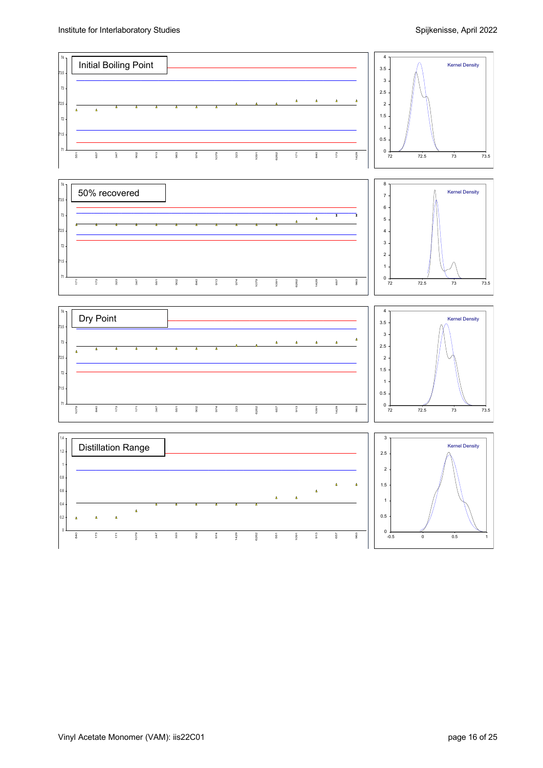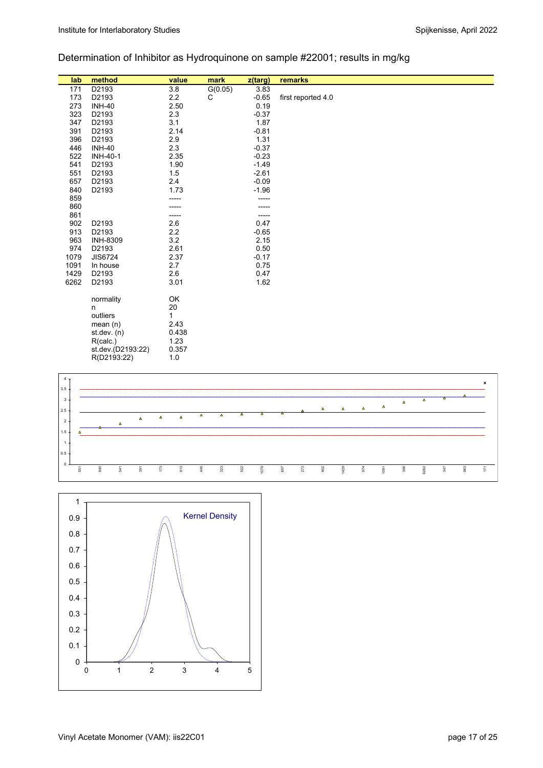## Determination of Inhibitor as Hydroquinone on sample #22001; results in mg/kg

| lab  | method            | value        | mark    | z(targ) | remarks            |
|------|-------------------|--------------|---------|---------|--------------------|
| 171  | D2193             | 3.8          | G(0.05) | 3.83    |                    |
| 173  | D2193             | 2.2          | С       | $-0.65$ | first reported 4.0 |
| 273  | <b>INH-40</b>     | 2.50         |         | 0.19    |                    |
| 323  | D2193             | 2.3          |         | $-0.37$ |                    |
| 347  | D2193             | 3.1          |         | 1.87    |                    |
| 391  | D2193             | 2.14         |         | $-0.81$ |                    |
| 396  | D2193             | 2.9          |         | 1.31    |                    |
| 446  | <b>INH-40</b>     | 2.3          |         | $-0.37$ |                    |
| 522  | INH-40-1          | 2.35         |         | $-0.23$ |                    |
| 541  | D2193             | 1.90         |         | $-1.49$ |                    |
| 551  | D2193             | 1.5          |         | $-2.61$ |                    |
| 657  | D2193             | 2.4          |         | $-0.09$ |                    |
| 840  | D2193             | 1.73         |         | $-1.96$ |                    |
| 859  |                   |              |         |         |                    |
| 860  |                   |              |         |         |                    |
| 861  |                   |              |         | -----   |                    |
| 902  | D2193             | 2.6          |         | 0.47    |                    |
| 913  | D2193             | 2.2          |         | $-0.65$ |                    |
| 963  | <b>INH-8309</b>   | 3.2          |         | 2.15    |                    |
| 974  | D2193             | 2.61         |         | 0.50    |                    |
| 1079 | JIS6724           | 2.37         |         | $-0.17$ |                    |
| 1091 | In house          | 2.7          |         | 0.75    |                    |
| 1429 | D2193             | 2.6          |         | 0.47    |                    |
| 6262 | D2193             | 3.01         |         | 1.62    |                    |
|      | normality         | OK           |         |         |                    |
|      | n                 | 20           |         |         |                    |
|      | outliers          | $\mathbf{1}$ |         |         |                    |
|      | mean $(n)$        | 2.43         |         |         |                    |
|      | st. dev. (n)      | 0.438        |         |         |                    |
|      | R(calc.)          | 1.23         |         |         |                    |
|      | st.dev.(D2193:22) | 0.357        |         |         |                    |
|      | R(D2193:22)       | 1.0          |         |         |                    |



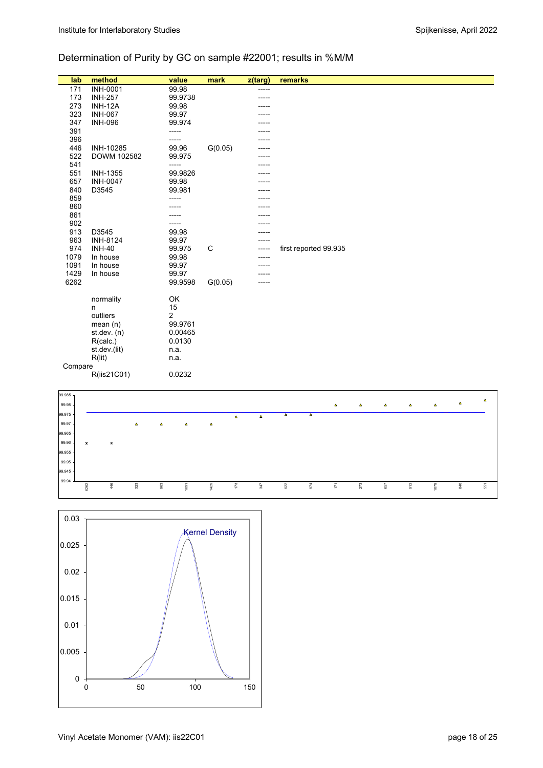# Determination of Purity by GC on sample #22001; results in %M/M

| 99.98<br>171<br><b>INH-0001</b><br>-----<br>173<br><b>INH-257</b><br>99.9738<br>273<br><b>INH-12A</b><br>99.98<br>323<br><b>INH-067</b><br>99.97<br>347<br>99.974<br><b>INH-096</b><br>391<br>-----<br>396<br>-----<br>INH-10285<br>G(0.05)<br>446<br>99.96<br>522<br>DOWM 102582<br>99.975<br>541<br>-----<br>551<br><b>INH-1355</b><br>99.9826<br><b>INH-0047</b><br>657<br>99.98<br>840<br>D3545<br>99.981<br>859<br>-----<br>860<br>-----<br>861<br>902<br>-----<br>913<br>D3545<br>99.98<br>963<br><b>INH-8124</b><br>99.97<br>974<br><b>INH-40</b><br>99.975<br>C<br>first reported 99.935<br>1079<br>99.98<br>In house<br>1091<br>In house<br>99.97<br>1429<br>99.97<br>In house<br>6262<br>99.9598<br>G(0.05)<br>OK<br>normality<br>15<br>n<br>outliers<br>$\overline{a}$<br>99.9761<br>mean(n)<br>0.00465<br>st. dev. (n)<br>0.0130<br>R(calc.)<br>st.dev.(lit)<br>n.a.<br>R(lit)<br>n.a.<br>Compare<br>R(iis21C01)<br>0.0232<br>$\Delta$<br>$\pmb{\Delta}$<br>99.98<br>$\pmb{\Delta}$<br>$\pmb{\Delta}$<br>$\pmb{\Delta}$<br>$\pmb{\Delta}$<br>$\pmb{\Delta}$<br>$\blacktriangle$<br>$\blacktriangle$<br>$\Delta$<br>$\pmb{\Delta}$<br>99.97<br>$\pmb{\Delta}$<br>$\Delta$<br>$\pmb{\Delta}$<br>Δ<br>99.96<br>$\pmb{\times}$<br>$\pmb{\times}$<br>99.955<br>99.95<br>99.945<br>99.94<br>6262<br>46<br>$_{323}$<br>963<br>1429<br>$\overline{\mathbb{C}}$<br>1079<br>$\,^\mathrm{o}_\mathrm{8}$<br>551<br>1091<br>$\mathfrak{t}\mathbb{Z}^3$<br>247<br>522<br>$974$<br>$273\,$<br>657<br>913<br>0.03<br><b>Kernel Density</b><br>0.025<br>$0.02\,$<br>0.015<br>0.01<br>0.005<br>$\pmb{0}$<br>100<br>$\bf{0}$<br>50<br>150 |        |        |       |      |         |         |  |  |  |  |
|------------------------------------------------------------------------------------------------------------------------------------------------------------------------------------------------------------------------------------------------------------------------------------------------------------------------------------------------------------------------------------------------------------------------------------------------------------------------------------------------------------------------------------------------------------------------------------------------------------------------------------------------------------------------------------------------------------------------------------------------------------------------------------------------------------------------------------------------------------------------------------------------------------------------------------------------------------------------------------------------------------------------------------------------------------------------------------------------------------------------------------------------------------------------------------------------------------------------------------------------------------------------------------------------------------------------------------------------------------------------------------------------------------------------------------------------------------------------------------------------------------------------------------------------------------------------------------------------------------------------------------|--------|--------|-------|------|---------|---------|--|--|--|--|
|                                                                                                                                                                                                                                                                                                                                                                                                                                                                                                                                                                                                                                                                                                                                                                                                                                                                                                                                                                                                                                                                                                                                                                                                                                                                                                                                                                                                                                                                                                                                                                                                                                    | lab    | method | value | mark | z(targ) | remarks |  |  |  |  |
|                                                                                                                                                                                                                                                                                                                                                                                                                                                                                                                                                                                                                                                                                                                                                                                                                                                                                                                                                                                                                                                                                                                                                                                                                                                                                                                                                                                                                                                                                                                                                                                                                                    |        |        |       |      |         |         |  |  |  |  |
|                                                                                                                                                                                                                                                                                                                                                                                                                                                                                                                                                                                                                                                                                                                                                                                                                                                                                                                                                                                                                                                                                                                                                                                                                                                                                                                                                                                                                                                                                                                                                                                                                                    |        |        |       |      |         |         |  |  |  |  |
|                                                                                                                                                                                                                                                                                                                                                                                                                                                                                                                                                                                                                                                                                                                                                                                                                                                                                                                                                                                                                                                                                                                                                                                                                                                                                                                                                                                                                                                                                                                                                                                                                                    |        |        |       |      |         |         |  |  |  |  |
|                                                                                                                                                                                                                                                                                                                                                                                                                                                                                                                                                                                                                                                                                                                                                                                                                                                                                                                                                                                                                                                                                                                                                                                                                                                                                                                                                                                                                                                                                                                                                                                                                                    |        |        |       |      |         |         |  |  |  |  |
|                                                                                                                                                                                                                                                                                                                                                                                                                                                                                                                                                                                                                                                                                                                                                                                                                                                                                                                                                                                                                                                                                                                                                                                                                                                                                                                                                                                                                                                                                                                                                                                                                                    |        |        |       |      |         |         |  |  |  |  |
|                                                                                                                                                                                                                                                                                                                                                                                                                                                                                                                                                                                                                                                                                                                                                                                                                                                                                                                                                                                                                                                                                                                                                                                                                                                                                                                                                                                                                                                                                                                                                                                                                                    |        |        |       |      |         |         |  |  |  |  |
|                                                                                                                                                                                                                                                                                                                                                                                                                                                                                                                                                                                                                                                                                                                                                                                                                                                                                                                                                                                                                                                                                                                                                                                                                                                                                                                                                                                                                                                                                                                                                                                                                                    |        |        |       |      |         |         |  |  |  |  |
|                                                                                                                                                                                                                                                                                                                                                                                                                                                                                                                                                                                                                                                                                                                                                                                                                                                                                                                                                                                                                                                                                                                                                                                                                                                                                                                                                                                                                                                                                                                                                                                                                                    |        |        |       |      |         |         |  |  |  |  |
|                                                                                                                                                                                                                                                                                                                                                                                                                                                                                                                                                                                                                                                                                                                                                                                                                                                                                                                                                                                                                                                                                                                                                                                                                                                                                                                                                                                                                                                                                                                                                                                                                                    |        |        |       |      |         |         |  |  |  |  |
|                                                                                                                                                                                                                                                                                                                                                                                                                                                                                                                                                                                                                                                                                                                                                                                                                                                                                                                                                                                                                                                                                                                                                                                                                                                                                                                                                                                                                                                                                                                                                                                                                                    |        |        |       |      |         |         |  |  |  |  |
|                                                                                                                                                                                                                                                                                                                                                                                                                                                                                                                                                                                                                                                                                                                                                                                                                                                                                                                                                                                                                                                                                                                                                                                                                                                                                                                                                                                                                                                                                                                                                                                                                                    |        |        |       |      |         |         |  |  |  |  |
|                                                                                                                                                                                                                                                                                                                                                                                                                                                                                                                                                                                                                                                                                                                                                                                                                                                                                                                                                                                                                                                                                                                                                                                                                                                                                                                                                                                                                                                                                                                                                                                                                                    |        |        |       |      |         |         |  |  |  |  |
|                                                                                                                                                                                                                                                                                                                                                                                                                                                                                                                                                                                                                                                                                                                                                                                                                                                                                                                                                                                                                                                                                                                                                                                                                                                                                                                                                                                                                                                                                                                                                                                                                                    |        |        |       |      |         |         |  |  |  |  |
|                                                                                                                                                                                                                                                                                                                                                                                                                                                                                                                                                                                                                                                                                                                                                                                                                                                                                                                                                                                                                                                                                                                                                                                                                                                                                                                                                                                                                                                                                                                                                                                                                                    |        |        |       |      |         |         |  |  |  |  |
|                                                                                                                                                                                                                                                                                                                                                                                                                                                                                                                                                                                                                                                                                                                                                                                                                                                                                                                                                                                                                                                                                                                                                                                                                                                                                                                                                                                                                                                                                                                                                                                                                                    |        |        |       |      |         |         |  |  |  |  |
|                                                                                                                                                                                                                                                                                                                                                                                                                                                                                                                                                                                                                                                                                                                                                                                                                                                                                                                                                                                                                                                                                                                                                                                                                                                                                                                                                                                                                                                                                                                                                                                                                                    |        |        |       |      |         |         |  |  |  |  |
|                                                                                                                                                                                                                                                                                                                                                                                                                                                                                                                                                                                                                                                                                                                                                                                                                                                                                                                                                                                                                                                                                                                                                                                                                                                                                                                                                                                                                                                                                                                                                                                                                                    |        |        |       |      |         |         |  |  |  |  |
|                                                                                                                                                                                                                                                                                                                                                                                                                                                                                                                                                                                                                                                                                                                                                                                                                                                                                                                                                                                                                                                                                                                                                                                                                                                                                                                                                                                                                                                                                                                                                                                                                                    |        |        |       |      |         |         |  |  |  |  |
|                                                                                                                                                                                                                                                                                                                                                                                                                                                                                                                                                                                                                                                                                                                                                                                                                                                                                                                                                                                                                                                                                                                                                                                                                                                                                                                                                                                                                                                                                                                                                                                                                                    |        |        |       |      |         |         |  |  |  |  |
|                                                                                                                                                                                                                                                                                                                                                                                                                                                                                                                                                                                                                                                                                                                                                                                                                                                                                                                                                                                                                                                                                                                                                                                                                                                                                                                                                                                                                                                                                                                                                                                                                                    |        |        |       |      |         |         |  |  |  |  |
|                                                                                                                                                                                                                                                                                                                                                                                                                                                                                                                                                                                                                                                                                                                                                                                                                                                                                                                                                                                                                                                                                                                                                                                                                                                                                                                                                                                                                                                                                                                                                                                                                                    |        |        |       |      |         |         |  |  |  |  |
|                                                                                                                                                                                                                                                                                                                                                                                                                                                                                                                                                                                                                                                                                                                                                                                                                                                                                                                                                                                                                                                                                                                                                                                                                                                                                                                                                                                                                                                                                                                                                                                                                                    |        |        |       |      |         |         |  |  |  |  |
|                                                                                                                                                                                                                                                                                                                                                                                                                                                                                                                                                                                                                                                                                                                                                                                                                                                                                                                                                                                                                                                                                                                                                                                                                                                                                                                                                                                                                                                                                                                                                                                                                                    |        |        |       |      |         |         |  |  |  |  |
|                                                                                                                                                                                                                                                                                                                                                                                                                                                                                                                                                                                                                                                                                                                                                                                                                                                                                                                                                                                                                                                                                                                                                                                                                                                                                                                                                                                                                                                                                                                                                                                                                                    |        |        |       |      |         |         |  |  |  |  |
|                                                                                                                                                                                                                                                                                                                                                                                                                                                                                                                                                                                                                                                                                                                                                                                                                                                                                                                                                                                                                                                                                                                                                                                                                                                                                                                                                                                                                                                                                                                                                                                                                                    |        |        |       |      |         |         |  |  |  |  |
|                                                                                                                                                                                                                                                                                                                                                                                                                                                                                                                                                                                                                                                                                                                                                                                                                                                                                                                                                                                                                                                                                                                                                                                                                                                                                                                                                                                                                                                                                                                                                                                                                                    |        |        |       |      |         |         |  |  |  |  |
|                                                                                                                                                                                                                                                                                                                                                                                                                                                                                                                                                                                                                                                                                                                                                                                                                                                                                                                                                                                                                                                                                                                                                                                                                                                                                                                                                                                                                                                                                                                                                                                                                                    |        |        |       |      |         |         |  |  |  |  |
|                                                                                                                                                                                                                                                                                                                                                                                                                                                                                                                                                                                                                                                                                                                                                                                                                                                                                                                                                                                                                                                                                                                                                                                                                                                                                                                                                                                                                                                                                                                                                                                                                                    |        |        |       |      |         |         |  |  |  |  |
|                                                                                                                                                                                                                                                                                                                                                                                                                                                                                                                                                                                                                                                                                                                                                                                                                                                                                                                                                                                                                                                                                                                                                                                                                                                                                                                                                                                                                                                                                                                                                                                                                                    |        |        |       |      |         |         |  |  |  |  |
|                                                                                                                                                                                                                                                                                                                                                                                                                                                                                                                                                                                                                                                                                                                                                                                                                                                                                                                                                                                                                                                                                                                                                                                                                                                                                                                                                                                                                                                                                                                                                                                                                                    | 99.985 |        |       |      |         |         |  |  |  |  |
|                                                                                                                                                                                                                                                                                                                                                                                                                                                                                                                                                                                                                                                                                                                                                                                                                                                                                                                                                                                                                                                                                                                                                                                                                                                                                                                                                                                                                                                                                                                                                                                                                                    |        |        |       |      |         |         |  |  |  |  |
|                                                                                                                                                                                                                                                                                                                                                                                                                                                                                                                                                                                                                                                                                                                                                                                                                                                                                                                                                                                                                                                                                                                                                                                                                                                                                                                                                                                                                                                                                                                                                                                                                                    | 99.975 |        |       |      |         |         |  |  |  |  |
|                                                                                                                                                                                                                                                                                                                                                                                                                                                                                                                                                                                                                                                                                                                                                                                                                                                                                                                                                                                                                                                                                                                                                                                                                                                                                                                                                                                                                                                                                                                                                                                                                                    |        |        |       |      |         |         |  |  |  |  |
|                                                                                                                                                                                                                                                                                                                                                                                                                                                                                                                                                                                                                                                                                                                                                                                                                                                                                                                                                                                                                                                                                                                                                                                                                                                                                                                                                                                                                                                                                                                                                                                                                                    | 99.965 |        |       |      |         |         |  |  |  |  |
|                                                                                                                                                                                                                                                                                                                                                                                                                                                                                                                                                                                                                                                                                                                                                                                                                                                                                                                                                                                                                                                                                                                                                                                                                                                                                                                                                                                                                                                                                                                                                                                                                                    |        |        |       |      |         |         |  |  |  |  |
|                                                                                                                                                                                                                                                                                                                                                                                                                                                                                                                                                                                                                                                                                                                                                                                                                                                                                                                                                                                                                                                                                                                                                                                                                                                                                                                                                                                                                                                                                                                                                                                                                                    |        |        |       |      |         |         |  |  |  |  |
|                                                                                                                                                                                                                                                                                                                                                                                                                                                                                                                                                                                                                                                                                                                                                                                                                                                                                                                                                                                                                                                                                                                                                                                                                                                                                                                                                                                                                                                                                                                                                                                                                                    |        |        |       |      |         |         |  |  |  |  |
|                                                                                                                                                                                                                                                                                                                                                                                                                                                                                                                                                                                                                                                                                                                                                                                                                                                                                                                                                                                                                                                                                                                                                                                                                                                                                                                                                                                                                                                                                                                                                                                                                                    |        |        |       |      |         |         |  |  |  |  |
|                                                                                                                                                                                                                                                                                                                                                                                                                                                                                                                                                                                                                                                                                                                                                                                                                                                                                                                                                                                                                                                                                                                                                                                                                                                                                                                                                                                                                                                                                                                                                                                                                                    |        |        |       |      |         |         |  |  |  |  |
|                                                                                                                                                                                                                                                                                                                                                                                                                                                                                                                                                                                                                                                                                                                                                                                                                                                                                                                                                                                                                                                                                                                                                                                                                                                                                                                                                                                                                                                                                                                                                                                                                                    |        |        |       |      |         |         |  |  |  |  |
|                                                                                                                                                                                                                                                                                                                                                                                                                                                                                                                                                                                                                                                                                                                                                                                                                                                                                                                                                                                                                                                                                                                                                                                                                                                                                                                                                                                                                                                                                                                                                                                                                                    |        |        |       |      |         |         |  |  |  |  |
|                                                                                                                                                                                                                                                                                                                                                                                                                                                                                                                                                                                                                                                                                                                                                                                                                                                                                                                                                                                                                                                                                                                                                                                                                                                                                                                                                                                                                                                                                                                                                                                                                                    |        |        |       |      |         |         |  |  |  |  |
|                                                                                                                                                                                                                                                                                                                                                                                                                                                                                                                                                                                                                                                                                                                                                                                                                                                                                                                                                                                                                                                                                                                                                                                                                                                                                                                                                                                                                                                                                                                                                                                                                                    |        |        |       |      |         |         |  |  |  |  |
|                                                                                                                                                                                                                                                                                                                                                                                                                                                                                                                                                                                                                                                                                                                                                                                                                                                                                                                                                                                                                                                                                                                                                                                                                                                                                                                                                                                                                                                                                                                                                                                                                                    |        |        |       |      |         |         |  |  |  |  |
|                                                                                                                                                                                                                                                                                                                                                                                                                                                                                                                                                                                                                                                                                                                                                                                                                                                                                                                                                                                                                                                                                                                                                                                                                                                                                                                                                                                                                                                                                                                                                                                                                                    |        |        |       |      |         |         |  |  |  |  |
|                                                                                                                                                                                                                                                                                                                                                                                                                                                                                                                                                                                                                                                                                                                                                                                                                                                                                                                                                                                                                                                                                                                                                                                                                                                                                                                                                                                                                                                                                                                                                                                                                                    |        |        |       |      |         |         |  |  |  |  |
|                                                                                                                                                                                                                                                                                                                                                                                                                                                                                                                                                                                                                                                                                                                                                                                                                                                                                                                                                                                                                                                                                                                                                                                                                                                                                                                                                                                                                                                                                                                                                                                                                                    |        |        |       |      |         |         |  |  |  |  |
|                                                                                                                                                                                                                                                                                                                                                                                                                                                                                                                                                                                                                                                                                                                                                                                                                                                                                                                                                                                                                                                                                                                                                                                                                                                                                                                                                                                                                                                                                                                                                                                                                                    |        |        |       |      |         |         |  |  |  |  |
|                                                                                                                                                                                                                                                                                                                                                                                                                                                                                                                                                                                                                                                                                                                                                                                                                                                                                                                                                                                                                                                                                                                                                                                                                                                                                                                                                                                                                                                                                                                                                                                                                                    |        |        |       |      |         |         |  |  |  |  |
|                                                                                                                                                                                                                                                                                                                                                                                                                                                                                                                                                                                                                                                                                                                                                                                                                                                                                                                                                                                                                                                                                                                                                                                                                                                                                                                                                                                                                                                                                                                                                                                                                                    |        |        |       |      |         |         |  |  |  |  |
|                                                                                                                                                                                                                                                                                                                                                                                                                                                                                                                                                                                                                                                                                                                                                                                                                                                                                                                                                                                                                                                                                                                                                                                                                                                                                                                                                                                                                                                                                                                                                                                                                                    |        |        |       |      |         |         |  |  |  |  |
|                                                                                                                                                                                                                                                                                                                                                                                                                                                                                                                                                                                                                                                                                                                                                                                                                                                                                                                                                                                                                                                                                                                                                                                                                                                                                                                                                                                                                                                                                                                                                                                                                                    |        |        |       |      |         |         |  |  |  |  |
|                                                                                                                                                                                                                                                                                                                                                                                                                                                                                                                                                                                                                                                                                                                                                                                                                                                                                                                                                                                                                                                                                                                                                                                                                                                                                                                                                                                                                                                                                                                                                                                                                                    |        |        |       |      |         |         |  |  |  |  |
|                                                                                                                                                                                                                                                                                                                                                                                                                                                                                                                                                                                                                                                                                                                                                                                                                                                                                                                                                                                                                                                                                                                                                                                                                                                                                                                                                                                                                                                                                                                                                                                                                                    |        |        |       |      |         |         |  |  |  |  |
|                                                                                                                                                                                                                                                                                                                                                                                                                                                                                                                                                                                                                                                                                                                                                                                                                                                                                                                                                                                                                                                                                                                                                                                                                                                                                                                                                                                                                                                                                                                                                                                                                                    |        |        |       |      |         |         |  |  |  |  |
|                                                                                                                                                                                                                                                                                                                                                                                                                                                                                                                                                                                                                                                                                                                                                                                                                                                                                                                                                                                                                                                                                                                                                                                                                                                                                                                                                                                                                                                                                                                                                                                                                                    |        |        |       |      |         |         |  |  |  |  |
|                                                                                                                                                                                                                                                                                                                                                                                                                                                                                                                                                                                                                                                                                                                                                                                                                                                                                                                                                                                                                                                                                                                                                                                                                                                                                                                                                                                                                                                                                                                                                                                                                                    |        |        |       |      |         |         |  |  |  |  |
|                                                                                                                                                                                                                                                                                                                                                                                                                                                                                                                                                                                                                                                                                                                                                                                                                                                                                                                                                                                                                                                                                                                                                                                                                                                                                                                                                                                                                                                                                                                                                                                                                                    |        |        |       |      |         |         |  |  |  |  |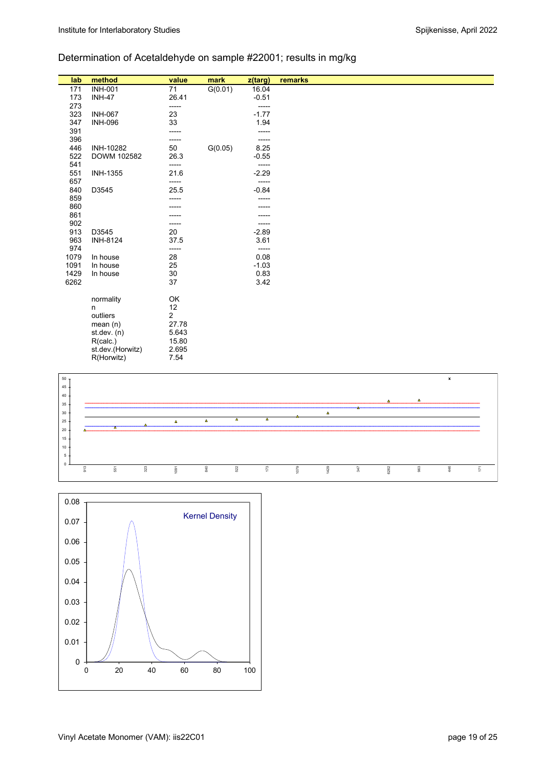# Determination of Acetaldehyde on sample #22001; results in mg/kg



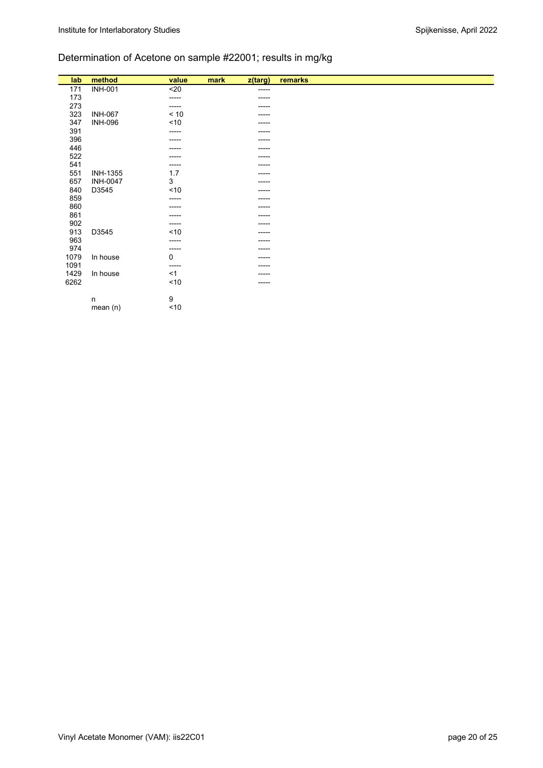# Determination of Acetone on sample #22001; results in mg/kg

| lab  | method          | value            | mark | z(targ) | remarks |
|------|-----------------|------------------|------|---------|---------|
| 171  | <b>INH-001</b>  | $20$             |      | ------  |         |
| 173  |                 | -----            |      | -----   |         |
| 273  |                 | -----            |      | -----   |         |
| 323  | <b>INH-067</b>  | < 10             |      | -----   |         |
| 347  | <b>INH-096</b>  | ~10              |      | -----   |         |
| 391  |                 | -----            |      | -----   |         |
| 396  |                 |                  |      |         |         |
| 446  |                 |                  |      | -----   |         |
| 522  |                 |                  |      |         |         |
| 541  |                 | -----            |      | ----    |         |
| 551  | INH-1355        | 1.7              |      | -----   |         |
| 657  | <b>INH-0047</b> | $\mathbf{3}$     |      | ----    |         |
| 840  | D3545           | ~10              |      | -----   |         |
| 859  |                 | -----            |      | -----   |         |
| 860  |                 | -----            |      | -----   |         |
| 861  |                 |                  |      |         |         |
| 902  |                 | -----            |      |         |         |
| 913  | D3545           | ~10              |      | -----   |         |
| 963  |                 |                  |      | -----   |         |
| 974  |                 | ------           |      | -----   |         |
| 1079 | In house        | 0                |      | -----   |         |
| 1091 |                 | ------           |      | -----   |         |
| 1429 | In house        | $<$ 1            |      | -----   |         |
| 6262 |                 | ~10              |      | -----   |         |
|      |                 |                  |      |         |         |
|      | n               | $\boldsymbol{9}$ |      |         |         |
|      |                 | ~10              |      |         |         |
|      | mean $(n)$      |                  |      |         |         |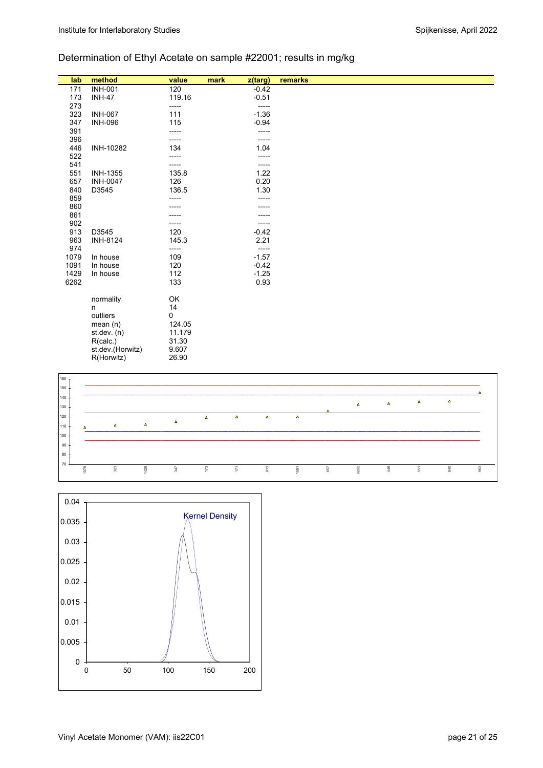# Determination of Ethyl Acetate on sample #22001; results in mg/kg

| lab  | method           | value  | mark<br>z(targ) | remarks |
|------|------------------|--------|-----------------|---------|
| 171  | <b>INH-001</b>   | 120    | $-0.42$         |         |
| 173  | <b>INH-47</b>    | 119.16 | $-0.51$         |         |
| 273  |                  | -----  | -----           |         |
| 323  | <b>INH-067</b>   | 111    | $-1.36$         |         |
| 347  | <b>INH-096</b>   | 115    | $-0.94$         |         |
| 391  |                  | -----  | -----           |         |
| 396  |                  | -----  | -----           |         |
| 446  | INH-10282        | 134    | 1.04            |         |
| 522  |                  | -----  | -----           |         |
| 541  |                  | -----  | -----           |         |
| 551  | <b>INH-1355</b>  | 135.8  | 1.22            |         |
| 657  | <b>INH-0047</b>  | 126    | 0.20            |         |
| 840  | D3545            | 136.5  | 1.30            |         |
| 859  |                  | -----  | -----           |         |
| 860  |                  |        |                 |         |
| 861  |                  |        |                 |         |
| 902  |                  | -----  |                 |         |
| 913  | D3545            | 120    | $-0.42$         |         |
| 963  | <b>INH-8124</b>  | 145.3  | 2.21            |         |
| 974  |                  | -----  | -----           |         |
| 1079 | In house         | 109    | $-1.57$         |         |
| 1091 | In house         | 120    | $-0.42$         |         |
| 1429 | In house         | 112    | $-1.25$         |         |
| 6262 |                  | 133    | 0.93            |         |
|      |                  |        |                 |         |
|      | normality        | OK     |                 |         |
|      | n                | 14     |                 |         |
|      | outliers         | 0      |                 |         |
|      | mean $(n)$       | 124.05 |                 |         |
|      | st. dev. (n)     | 11.179 |                 |         |
|      | R(calc.)         | 31.30  |                 |         |
|      | st.dev.(Horwitz) | 9.607  |                 |         |
|      | R(Horwitz)       | 26.90  |                 |         |



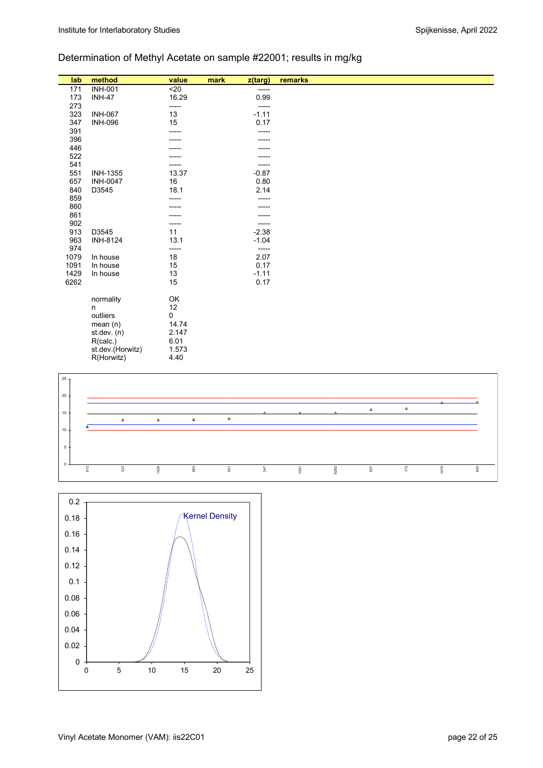## Determination of Methyl Acetate on sample #22001; results in mg/kg

| lab  | method           | value | mark<br>z(targ) | remarks |
|------|------------------|-------|-----------------|---------|
| 171  | <b>INH-001</b>   | $20$  | -----           |         |
| 173  | <b>INH-47</b>    | 16.29 | 0.99            |         |
| 273  |                  | ----- | -----           |         |
| 323  | <b>INH-067</b>   | 13    | $-1.11$         |         |
| 347  | <b>INH-096</b>   | 15    | 0.17            |         |
| 391  |                  |       | -----           |         |
| 396  |                  |       |                 |         |
| 446  |                  |       |                 |         |
| 522  |                  |       |                 |         |
| 541  |                  |       | -----           |         |
| 551  | <b>INH-1355</b>  | 13.37 | $-0.87$         |         |
| 657  | <b>INH-0047</b>  | 16    | 0.80            |         |
| 840  | D3545            | 18.1  | 2.14            |         |
| 859  |                  |       |                 |         |
| 860  |                  |       |                 |         |
| 861  |                  |       |                 |         |
| 902  |                  |       | -----           |         |
| 913  | D3545            | 11    | $-2.38$         |         |
| 963  | <b>INH-8124</b>  | 13.1  | $-1.04$         |         |
| 974  |                  | ----- | -----           |         |
| 1079 | In house         | 18    | 2.07            |         |
| 1091 | In house         | 15    | 0.17            |         |
| 1429 | In house         | 13    | $-1.11$         |         |
| 6262 |                  | 15    | 0.17            |         |
|      |                  |       |                 |         |
|      | normality        | OK    |                 |         |
|      | n                | 12    |                 |         |
|      | outliers         | 0     |                 |         |
|      | mean $(n)$       | 14.74 |                 |         |
|      | st. dev. (n)     | 2.147 |                 |         |
|      | R(calc.)         | 6.01  |                 |         |
|      | st.dev.(Horwitz) | 1.573 |                 |         |
|      | R(Horwitz)       | 4.40  |                 |         |



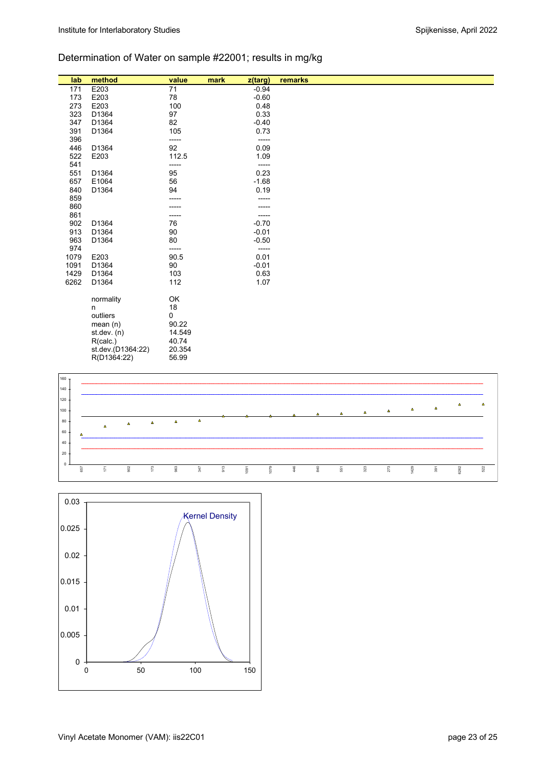## Determination of Water on sample #22001; results in mg/kg

| lab  | method            | value  | mark<br>z(targ) | remarks |
|------|-------------------|--------|-----------------|---------|
| 171  | E203              | 71     | $-0.94$         |         |
| 173  | E203              | 78     | $-0.60$         |         |
| 273  | E203              | 100    | 0.48            |         |
| 323  | D1364             | 97     | 0.33            |         |
| 347  | D1364             | 82     | $-0.40$         |         |
| 391  | D1364             | 105    | 0.73            |         |
| 396  |                   | -----  | $-----$         |         |
| 446  | D1364             | 92     | 0.09            |         |
| 522  | E203              | 112.5  | 1.09            |         |
| 541  |                   | -----  | -----           |         |
| 551  | D1364             | 95     | 0.23            |         |
| 657  | E1064             | 56     | $-1.68$         |         |
| 840  | D1364             | 94     | 0.19            |         |
| 859  |                   |        | -----           |         |
| 860  |                   |        |                 |         |
| 861  |                   |        |                 |         |
| 902  | D1364             | 76     | $-0.70$         |         |
| 913  | D1364             | 90     | $-0.01$         |         |
| 963  | D1364             | 80     | $-0.50$         |         |
| 974  |                   | -----  | $-----$         |         |
| 1079 | E203              | 90.5   | 0.01            |         |
| 1091 | D1364             | 90     | $-0.01$         |         |
| 1429 | D1364             | 103    | 0.63            |         |
| 6262 | D1364             | 112    | 1.07            |         |
|      | normality         | OK     |                 |         |
|      | n                 | $18\,$ |                 |         |
|      | outliers          | 0      |                 |         |
|      | mean $(n)$        | 90.22  |                 |         |
|      | st. dev. (n)      | 14.549 |                 |         |
|      | R(calc.)          | 40.74  |                 |         |
|      | st.dev.(D1364:22) | 20.354 |                 |         |
|      | R(D1364:22)       | 56.99  |                 |         |



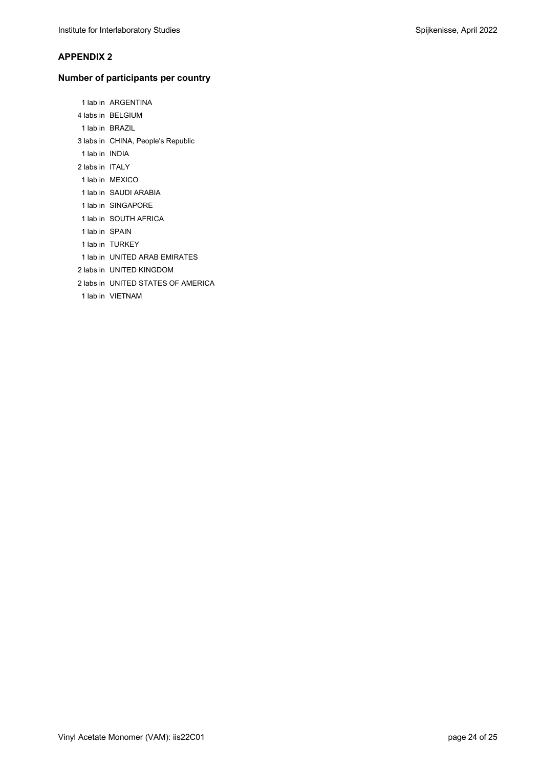### **APPENDIX 2**

#### **Number of participants per country**

1 lab in ARGENTINA 4 labs in BELGIUM 1 lab in BRAZIL 3 labs in CHINA, People's Republic 1 lab in INDIA 2 labs in ITALY 1 lab in MEXICO 1 lab in SAUDI ARABIA 1 lab in SINGAPORE 1 lab in SOUTH AFRICA 1 lab in SPAIN 1 lab in TURKEY 1 lab in UNITED ARAB EMIRATES 2 labs in UNITED KINGDOM

2 labs in UNITED STATES OF AMERICA

1 lab in VIETNAM